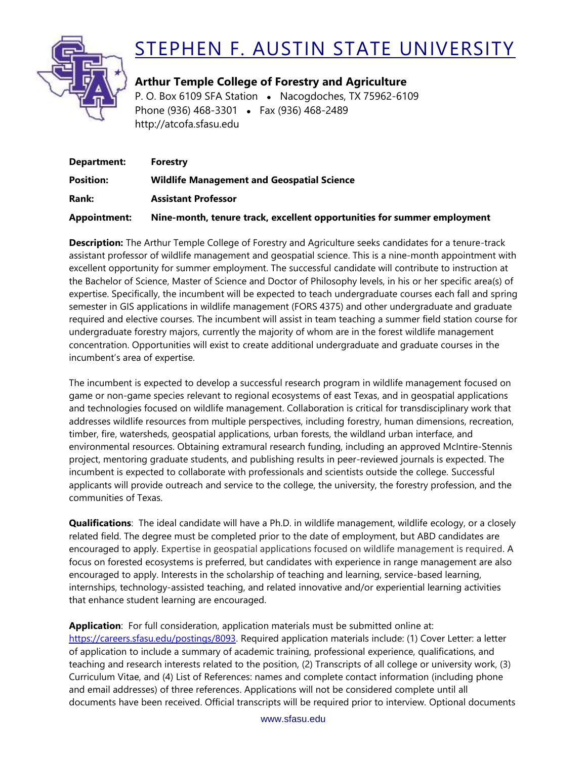

## STEPHEN F. AUSTIN STATE UNIVERSITY

**Arthur Temple College of Forestry and Agriculture** P. O. Box 6109 SFA Station • Nacogdoches, TX 75962-6109 Phone (936) 468-3301 • Fax (936) 468-2489 http://atcofa.sfasu.edu

| Department:      | Forestry                                                                |
|------------------|-------------------------------------------------------------------------|
| <b>Position:</b> | <b>Wildlife Management and Geospatial Science</b>                       |
| Rank:            | <b>Assistant Professor</b>                                              |
| Appointment:     | Nine-month, tenure track, excellent opportunities for summer employment |

**Description:** The Arthur Temple College of Forestry and Agriculture seeks candidates for a tenure-track assistant professor of wildlife management and geospatial science. This is a nine-month appointment with excellent opportunity for summer employment. The successful candidate will contribute to instruction at the Bachelor of Science, Master of Science and Doctor of Philosophy levels, in his or her specific area(s) of expertise. Specifically, the incumbent will be expected to teach undergraduate courses each fall and spring semester in GIS applications in wildlife management (FORS 4375) and other undergraduate and graduate required and elective courses. The incumbent will assist in team teaching a summer field station course for undergraduate forestry majors, currently the majority of whom are in the forest wildlife management concentration. Opportunities will exist to create additional undergraduate and graduate courses in the incumbent's area of expertise.

The incumbent is expected to develop a successful research program in wildlife management focused on game or non-game species relevant to regional ecosystems of east Texas, and in geospatial applications and technologies focused on wildlife management. Collaboration is critical for transdisciplinary work that addresses wildlife resources from multiple perspectives, including forestry, human dimensions, recreation, timber, fire, watersheds, geospatial applications, urban forests, the wildland urban interface, and environmental resources. Obtaining extramural research funding, including an approved McIntire-Stennis project, mentoring graduate students, and publishing results in peer-reviewed journals is expected. The incumbent is expected to collaborate with professionals and scientists outside the college. Successful applicants will provide outreach and service to the college, the university, the forestry profession, and the communities of Texas.

**Qualifications**: The ideal candidate will have a Ph.D. in wildlife management, wildlife ecology, or a closely related field. The degree must be completed prior to the date of employment, but ABD candidates are encouraged to apply. Expertise in geospatial applications focused on wildlife management is required. A focus on forested ecosystems is preferred, but candidates with experience in range management are also encouraged to apply. Interests in the scholarship of teaching and learning, service-based learning, internships, technology-assisted teaching, and related innovative and/or experiential learning activities that enhance student learning are encouraged.

**Application**: For full consideration, application materials must be submitted online at: [https://careers.sfasu.edu/postings/8093.](https://careers.sfasu.edu/postings/8093) Required application materials include: (1) Cover Letter: a letter of application to include a summary of academic training, professional experience, qualifications, and teaching and research interests related to the position, (2) Transcripts of all college or university work, (3) Curriculum Vitae, and (4) List of References: names and complete contact information (including phone and email addresses) of three references. Applications will not be considered complete until all documents have been received. Official transcripts will be required prior to interview. Optional documents